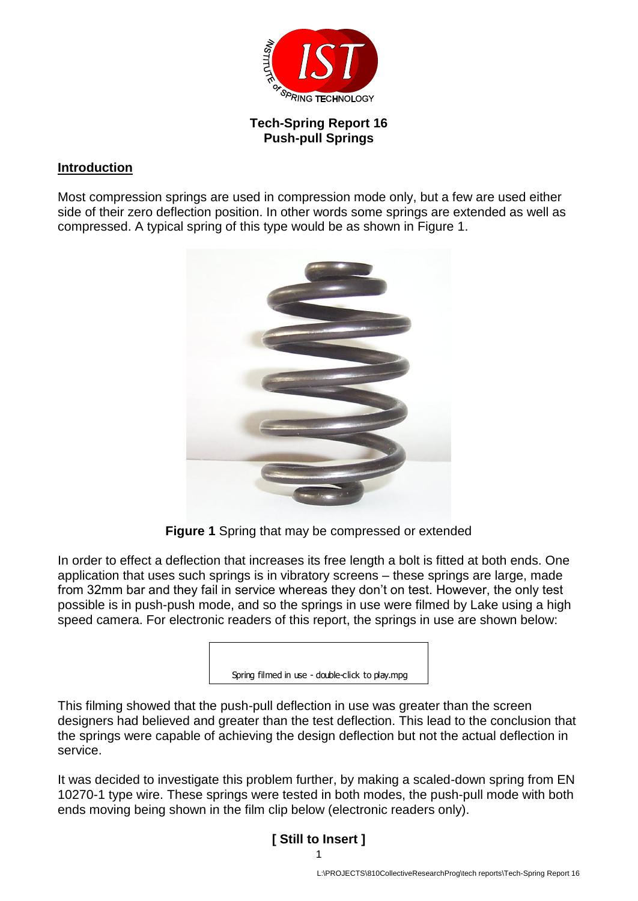

## **Tech-Spring Report 16 Push-pull Springs**

## **Introduction**

Most compression springs are used in compression mode only, but a few are used either side of their zero deflection position. In other words some springs are extended as well as compressed. A typical spring of this type would be as shown in Figure 1.



**Figure 1** Spring that may be compressed or extended

In order to effect a deflection that increases its free length a bolt is fitted at both ends. One application that uses such springs is in vibratory screens – these springs are large, made from 32mm bar and they fail in service whereas they don't on test. However, the only test possible is in push-push mode, and so the springs in use were filmed by Lake using a high speed camera. For electronic readers of this report, the springs in use are shown below:

| Spring filmed in use - double-click to play.mpg |  |
|-------------------------------------------------|--|

This filming showed that the push-pull deflection in use was greater than the screen designers had believed and greater than the test deflection. This lead to the conclusion that the springs were capable of achieving the design deflection but not the actual deflection in service.

It was decided to investigate this problem further, by making a scaled-down spring from EN 10270-1 type wire. These springs were tested in both modes, the push-pull mode with both ends moving being shown in the film clip below (electronic readers only).

## 1 **[ Still to Insert ]**